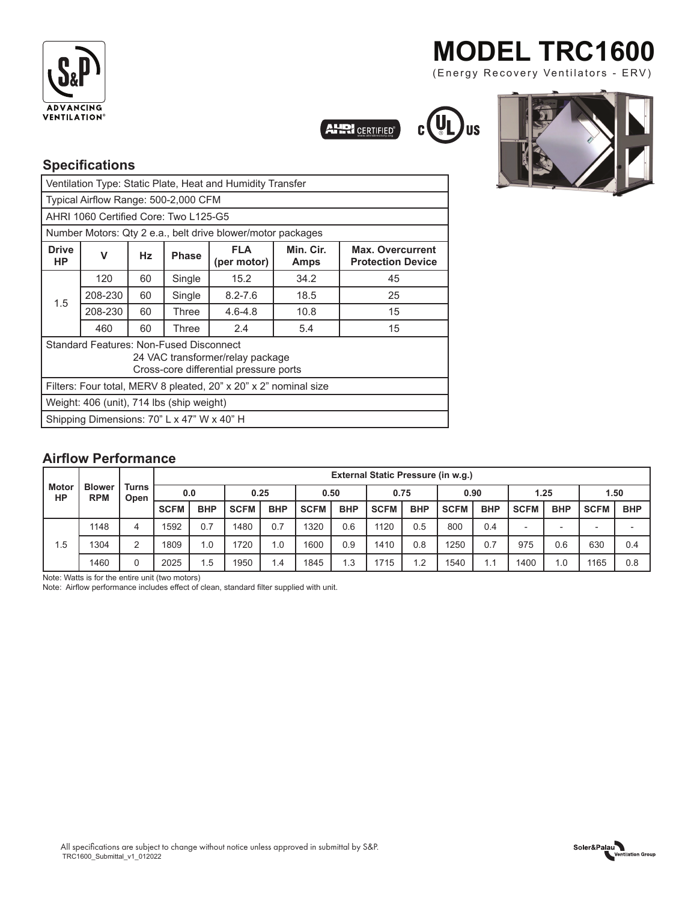

## **MODEL TRC1600**

(Energy Recovery Ventilators - ERV)

CERTIFIED<sup>®</sup>



### **Specifications**

| Ventilation Type: Static Plate, Heat and Humidity Transfer                                                                   |         |    |              |                                                                  |                          |                                                     |  |  |  |  |  |
|------------------------------------------------------------------------------------------------------------------------------|---------|----|--------------|------------------------------------------------------------------|--------------------------|-----------------------------------------------------|--|--|--|--|--|
| Typical Airflow Range: 500-2,000 CFM                                                                                         |         |    |              |                                                                  |                          |                                                     |  |  |  |  |  |
| AHRI 1060 Certified Core: Two L125-G5                                                                                        |         |    |              |                                                                  |                          |                                                     |  |  |  |  |  |
| Number Motors: Qty 2 e.a., belt drive blower/motor packages                                                                  |         |    |              |                                                                  |                          |                                                     |  |  |  |  |  |
| <b>Drive</b><br>НP                                                                                                           | v       | Hz | <b>Phase</b> | <b>FLA</b><br>(per motor)                                        | Min. Cir.<br><b>Amps</b> | <b>Max. Overcurrent</b><br><b>Protection Device</b> |  |  |  |  |  |
| 1.5                                                                                                                          | 120     | 60 | Single       | 15.2                                                             | 34.2                     | 45                                                  |  |  |  |  |  |
|                                                                                                                              | 208-230 | 60 | Single       | $8.2 - 7.6$                                                      | 18.5                     | 25                                                  |  |  |  |  |  |
|                                                                                                                              | 208-230 | 60 | Three        | $4.6 - 4.8$<br>10.8                                              |                          | 15                                                  |  |  |  |  |  |
|                                                                                                                              | 460     | 60 | Three        | 2.4                                                              | 5.4                      | 15                                                  |  |  |  |  |  |
| <b>Standard Features: Non-Fused Disconnect</b><br>24 VAC transformer/relay package<br>Cross-core differential pressure ports |         |    |              |                                                                  |                          |                                                     |  |  |  |  |  |
|                                                                                                                              |         |    |              | Filters: Four total, MERV 8 pleated, 20" x 20" x 2" nominal size |                          |                                                     |  |  |  |  |  |
| Weight: 406 (unit), 714 lbs (ship weight)                                                                                    |         |    |              |                                                                  |                          |                                                     |  |  |  |  |  |
| Shipping Dimensions: 70" L x 47" W x 40" H                                                                                   |         |    |              |                                                                  |                          |                                                     |  |  |  |  |  |

### **Airflow Performance**

| <b>Motor</b><br>HP | <b>Blower</b><br><b>RPM</b> | <b>Turns</b><br>Open | External Static Pressure (in w.g.) |            |             |            |             |            |             |            |             |            |                          |            |                          |                          |
|--------------------|-----------------------------|----------------------|------------------------------------|------------|-------------|------------|-------------|------------|-------------|------------|-------------|------------|--------------------------|------------|--------------------------|--------------------------|
|                    |                             |                      | 0.0                                |            | 0.25        |            | 0.50        |            | 0.75        |            | 0.90        |            | 1.25                     |            | 1.50                     |                          |
|                    |                             |                      | <b>SCFM</b>                        | <b>BHP</b> | <b>SCFM</b> | <b>BHP</b> | <b>SCFM</b> | <b>BHP</b> | <b>SCFM</b> | <b>BHP</b> | <b>SCFM</b> | <b>BHP</b> | <b>SCFM</b>              | <b>BHP</b> | <b>SCFM</b>              | <b>BHP</b>               |
| 1.5                | 1148                        | 4                    | 1592                               | 0.7        | 1480        | 0.7        | 1320        | 0.6        | 1120        | 0.5        | 800         | 0.4        | $\overline{\phantom{0}}$ |            | $\overline{\phantom{a}}$ | $\overline{\phantom{0}}$ |
|                    | 1304                        | っ                    | 1809                               | 1.0        | 1720        | 1.0        | 1600        | 0.9        | 1410        | 0.8        | 1250        | 0.7        | 975                      | 0.6        | 630                      | 0.4                      |
|                    | 1460                        | 0                    | 2025                               | 5.،        | 1950        | .4         | 1845        | 1.3        | 1715        | 1.2        | 1540        |            | 1400                     | 1.0        | 1165                     | 0.8                      |

Note: Watts is for the entire unit (two motors)

TRC1600\_Submittal\_v1\_012022

Note: Airflow performance includes effect of clean, standard filter supplied with unit.